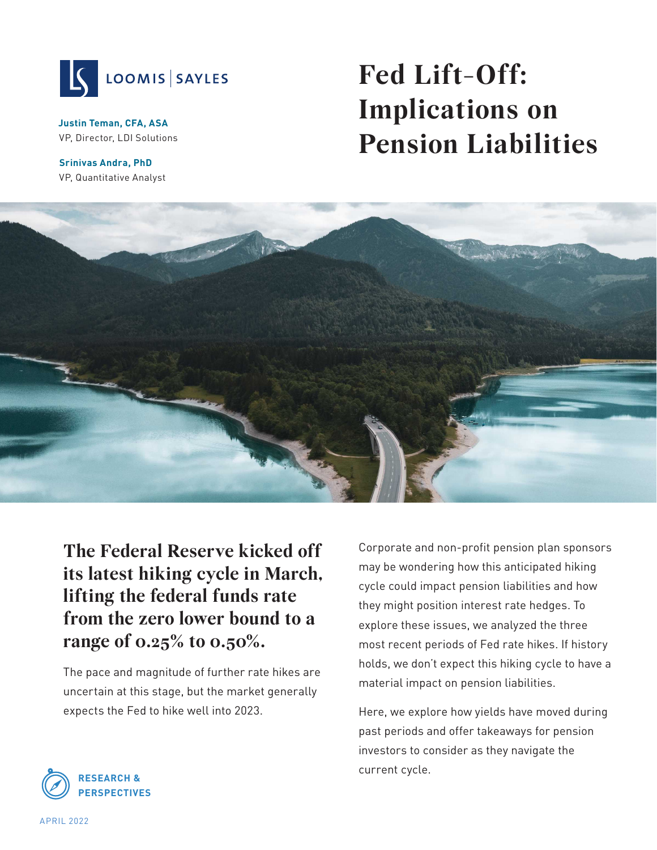

**Justin Teman, CFA, ASA** VP, Director, LDI Solutions

**Srinivas Andra, PhD** VP, Quantitative Analyst

# **Fed Lift-Off: Implications on Pension Liabilities**



**The Federal Reserve kicked off its latest hiking cycle in March, lifting the federal funds rate from the zero lower bound to a range of 0.25% to 0.50%.** 

The pace and magnitude of further rate hikes are uncertain at this stage, but the market generally expects the Fed to hike well into 2023.

Corporate and non-profit pension plan sponsors may be wondering how this anticipated hiking cycle could impact pension liabilities and how they might position interest rate hedges. To explore these issues, we analyzed the three most recent periods of Fed rate hikes. If history holds, we don't expect this hiking cycle to have a material impact on pension liabilities.

Here, we explore how yields have moved during past periods and offer takeaways for pension investors to consider as they navigate the current cycle.

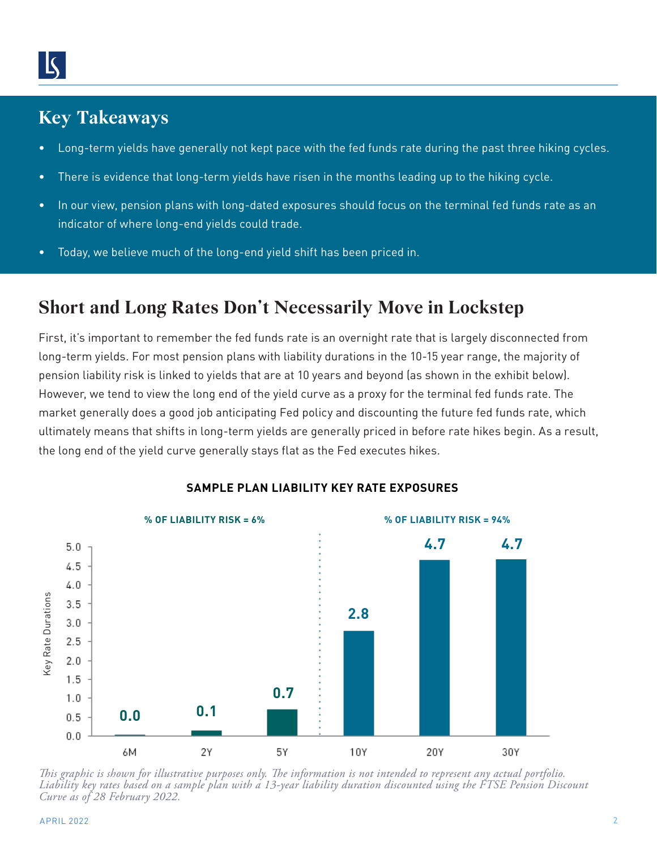## **Key Takeaways**

- Long-term yields have generally not kept pace with the fed funds rate during the past three hiking cycles.
- There is evidence that long-term yields have risen in the months leading up to the hiking cycle.
- In our view, pension plans with long-dated exposures should focus on the terminal fed funds rate as an indicator of where long-end yields could trade.
- Today, we believe much of the long-end yield shift has been priced in.

## **Short and Long Rates Don't Necessarily Move in Lockstep**

First, it's important to remember the fed funds rate is an overnight rate that is largely disconnected from long-term yields. For most pension plans with liability durations in the 10-15 year range, the majority of pension liability risk is linked to yields that are at 10 years and beyond (as shown in the exhibit below). However, we tend to view the long end of the yield curve as a proxy for the terminal fed funds rate. The market generally does a good job anticipating Fed policy and discounting the future fed funds rate, which ultimately means that shifts in long-term yields are generally priced in before rate hikes begin. As a result, the long end of the yield curve generally stays flat as the Fed executes hikes.



#### **SAMPLE PLAN LIABILITY KEY RATE EXPOSURES**

*This graphic is shown for illustrative purposes only. The information is not intended to represent any actual portfolio. Liability key rates based on a sample plan with a 13-year liability duration discounted using the FTSE Pension Discount Curve as of 28 February 2022.*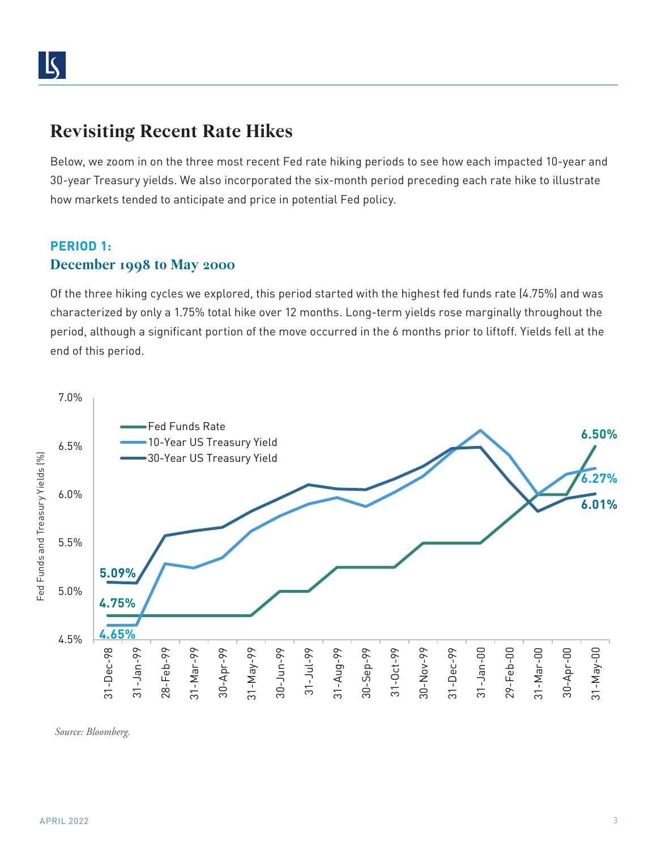## **Revisiting Recent Rate Hikes**

Below, we zoom in on the three most recent Fed rate hiking periods to see how each impacted 10-year and 30-year Treasury yields. We also incorporated the six-month period preceding each rate hike to illustrate how markets tended to anticipate and price in potential Fed policy.

### **PERIOD 1: December 1998 to May 2000**

Of the three hiking cycles we explored, this period started with the highest fed funds rate (4.75%) and was characterized by only a 1.75% total hike over 12 months. Long-term yields rose marginally throughout the period, although a significant portion of the move occurred in the 6 months prior to liftoff. Yields fell at the end of this period.



*Source: Bloomberg.*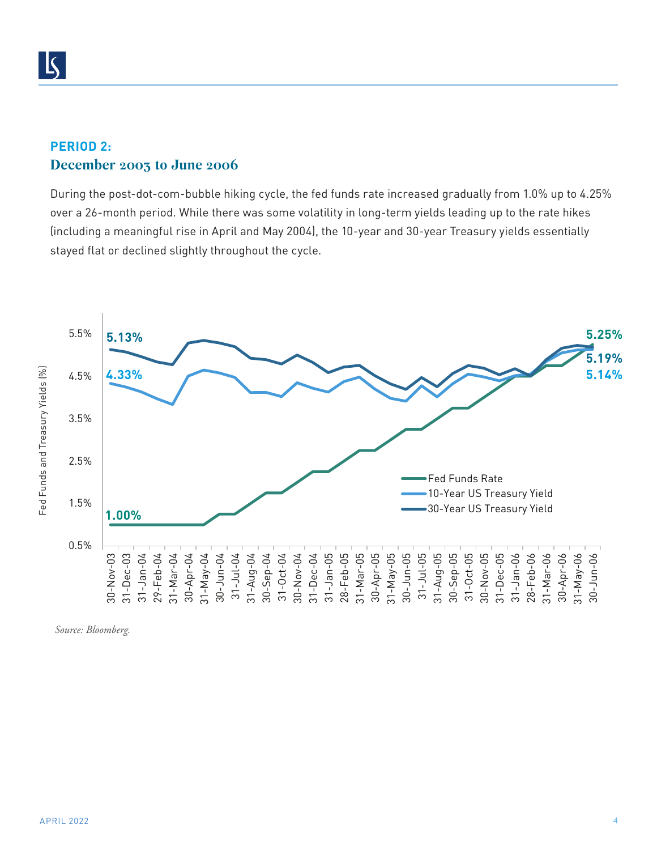#### **PERIOD 2: December 2003 to June 2006**

During the post-dot-com-bubble hiking cycle, the fed funds rate increased gradually from 1.0% up to 4.25% over a 26-month period. While there was some volatility in long-term yields leading up to the rate hikes (including a meaningful rise in April and May 2004), the 10-year and 30-year Treasury yields essentially stayed flat or declined slightly throughout the cycle.



*Source: Bloomberg.*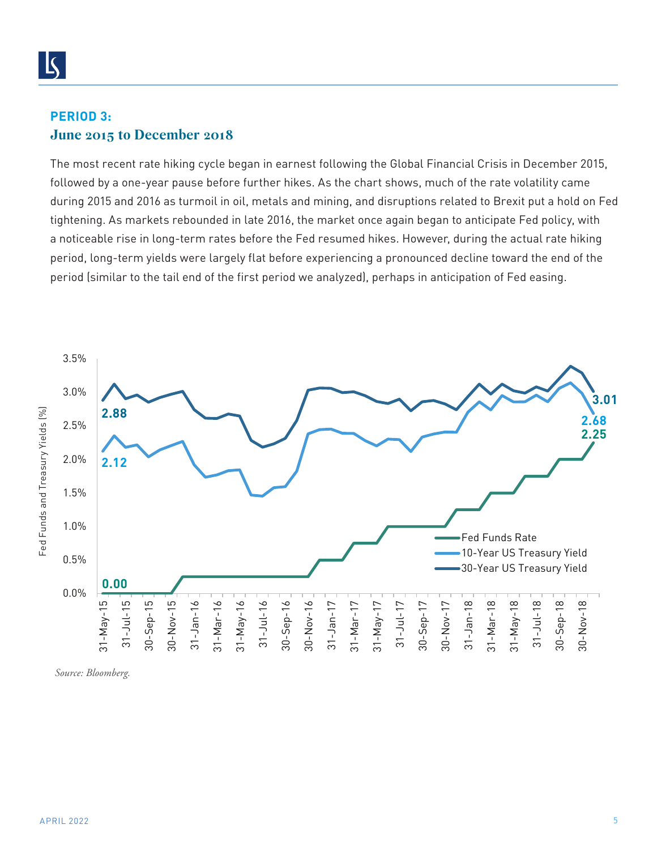#### **PERIOD 3: June 2015 to December 2018**

The most recent rate hiking cycle began in earnest following the Global Financial Crisis in December 2015, followed by a one-year pause before further hikes. As the chart shows, much of the rate volatility came during 2015 and 2016 as turmoil in oil, metals and mining, and disruptions related to Brexit put a hold on Fed tightening. As markets rebounded in late 2016, the market once again began to anticipate Fed policy, with a noticeable rise in long-term rates before the Fed resumed hikes. However, during the actual rate hiking period, long-term yields were largely flat before experiencing a pronounced decline toward the end of the period (similar to the tail end of the first period we analyzed), perhaps in anticipation of Fed easing.



*Source: Bloomberg.*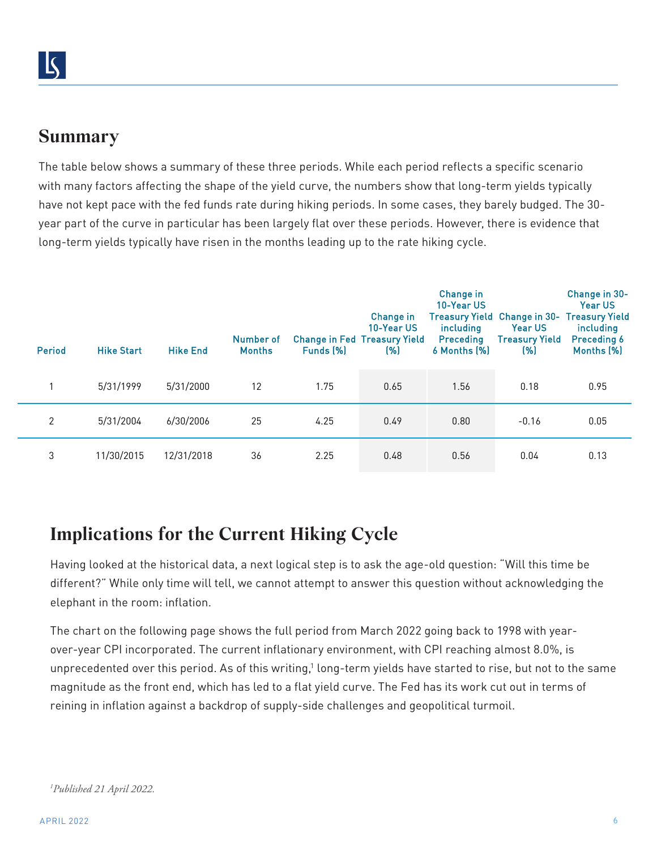## **Summary**

The table below shows a summary of these three periods. While each period reflects a specific scenario with many factors affecting the shape of the yield curve, the numbers show that long-term yields typically have not kept pace with the fed funds rate during hiking periods. In some cases, they barely budged. The 30 year part of the curve in particular has been largely flat over these periods. However, there is evidence that long-term yields typically have risen in the months leading up to the rate hiking cycle.

| Period         | <b>Hike Start</b> | <b>Hike End</b> | Number of<br><b>Months</b> | Funds (%) | Change in<br>10-Year US<br><b>Change in Fed Treasury Yield</b><br>(% ) | Change in<br>10-Year US<br><i>including</i><br>Preceding<br>6 Months (%) | <b>Treasury Yield Change in 30-</b><br><b>Year US</b><br>Treasury Yield<br>(%) | Change in 30-<br>Year US<br><b>Treasury Yield</b><br><i>including</i><br><b>Preceding 6</b><br>Months (%) |
|----------------|-------------------|-----------------|----------------------------|-----------|------------------------------------------------------------------------|--------------------------------------------------------------------------|--------------------------------------------------------------------------------|-----------------------------------------------------------------------------------------------------------|
|                | 5/31/1999         | 5/31/2000       | 12                         | 1.75      | 0.65                                                                   | 1.56                                                                     | 0.18                                                                           | 0.95                                                                                                      |
| $\overline{2}$ | 5/31/2004         | 6/30/2006       | 25                         | 4.25      | 0.49                                                                   | 0.80                                                                     | $-0.16$                                                                        | 0.05                                                                                                      |
| 3              | 11/30/2015        | 12/31/2018      | 36                         | 2.25      | 0.48                                                                   | 0.56                                                                     | 0.04                                                                           | 0.13                                                                                                      |

## **Implications for the Current Hiking Cycle**

Having looked at the historical data, a next logical step is to ask the age-old question: "Will this time be different?" While only time will tell, we cannot attempt to answer this question without acknowledging the elephant in the room: inflation.

The chart on the following page shows the full period from March 2022 going back to 1998 with yearover-year CPI incorporated. The current inflationary environment, with CPI reaching almost 8.0%, is unprecedented over this period. As of this writing,<sup>1</sup> long-term yields have started to rise, but not to the same magnitude as the front end, which has led to a flat yield curve. The Fed has its work cut out in terms of reining in inflation against a backdrop of supply-side challenges and geopolitical turmoil.

```
1
Published 21 April 2022.
```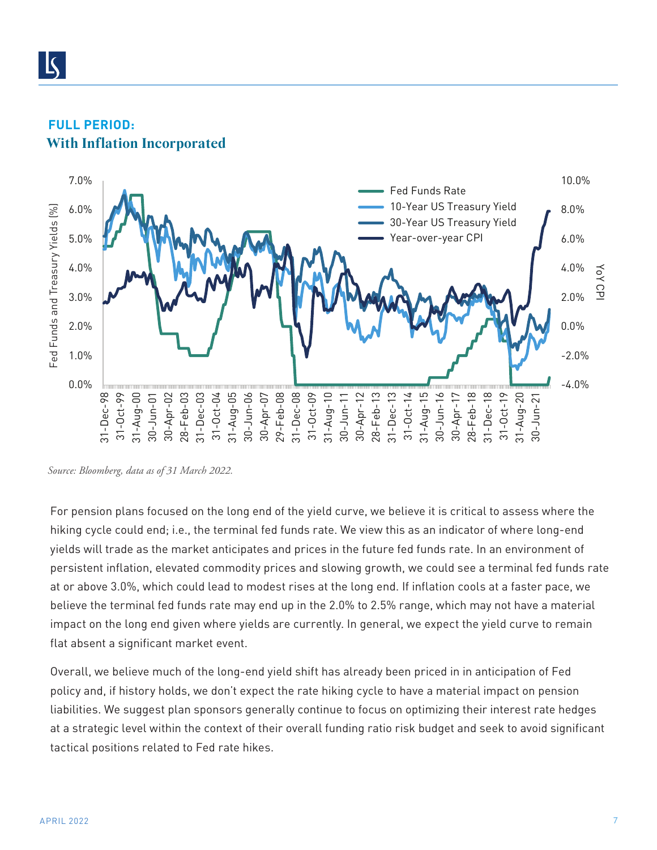

#### **FULL PERIOD: With Inflation Incorporated**

*Source: Bloomberg, data as of 31 March 2022.*

For pension plans focused on the long end of the yield curve, we believe it is critical to assess where the hiking cycle could end; i.e., the terminal fed funds rate. We view this as an indicator of where long-end yields will trade as the market anticipates and prices in the future fed funds rate. In an environment of persistent inflation, elevated commodity prices and slowing growth, we could see a terminal fed funds rate at or above 3.0%, which could lead to modest rises at the long end. If inflation cools at a faster pace, we believe the terminal fed funds rate may end up in the 2.0% to 2.5% range, which may not have a material impact on the long end given where yields are currently. In general, we expect the yield curve to remain flat absent a significant market event.

Overall, we believe much of the long-end yield shift has already been priced in in anticipation of Fed policy and, if history holds, we don't expect the rate hiking cycle to have a material impact on pension liabilities. We suggest plan sponsors generally continue to focus on optimizing their interest rate hedges at a strategic level within the context of their overall funding ratio risk budget and seek to avoid significant tactical positions related to Fed rate hikes.